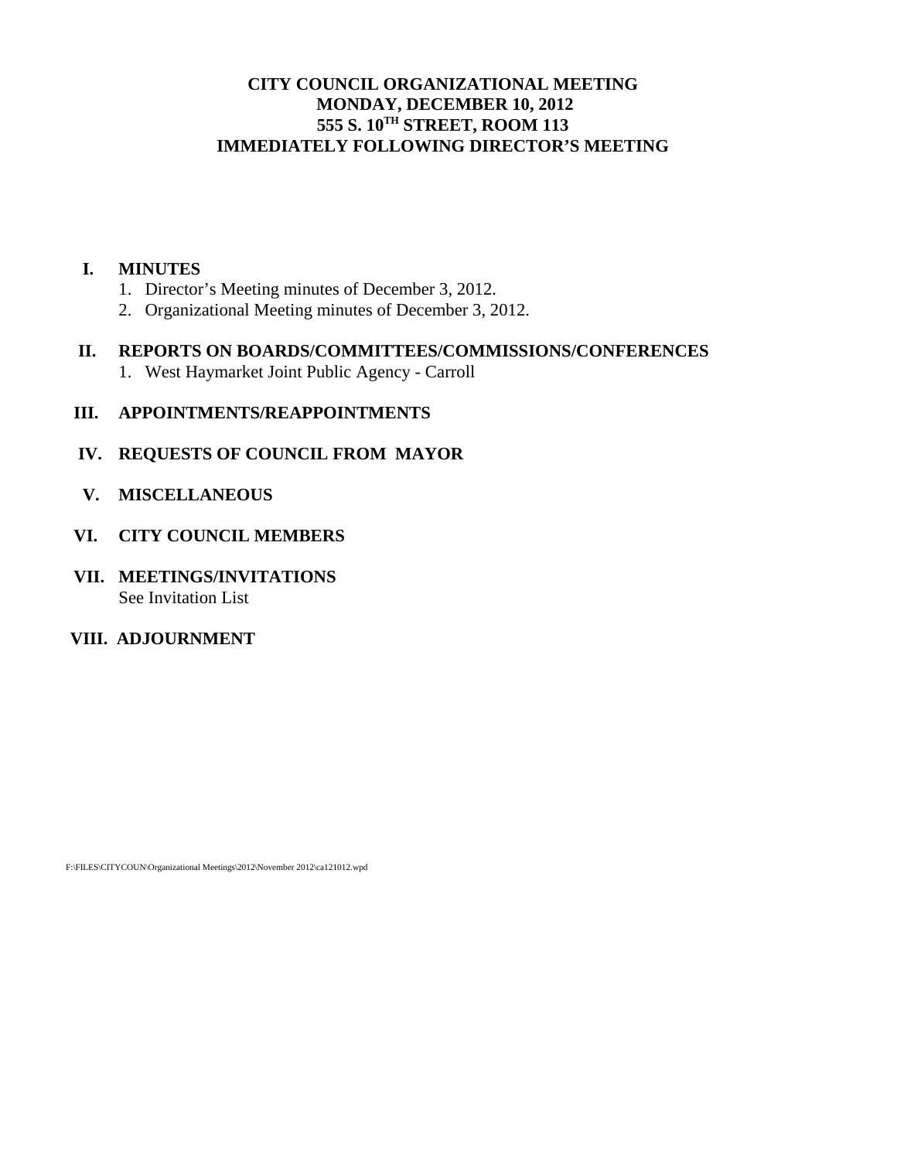# **CITY COUNCIL ORGANIZATIONAL MEETING MONDAY, DECEMBER 10, 2012 555 S. 10TH STREET, ROOM 113 IMMEDIATELY FOLLOWING DIRECTOR'S MEETING**

#### **I. MINUTES**

- 1. Director's Meeting minutes of December 3, 2012.
- 2. Organizational Meeting minutes of December 3, 2012.

#### **II. REPORTS ON BOARDS/COMMITTEES/COMMISSIONS/CONFERENCES**

1. West Haymarket Joint Public Agency - Carroll

### **III. APPOINTMENTS/REAPPOINTMENTS**

### **IV. REQUESTS OF COUNCIL FROM MAYOR**

 **V. MISCELLANEOUS** 

#### **VI. CITY COUNCIL MEMBERS**

**VII. MEETINGS/INVITATIONS**  See Invitation List

# **VIII. ADJOURNMENT**

F:\FILES\CITYCOUN\Organizational Meetings\2012\November 2012\ca121012.wpd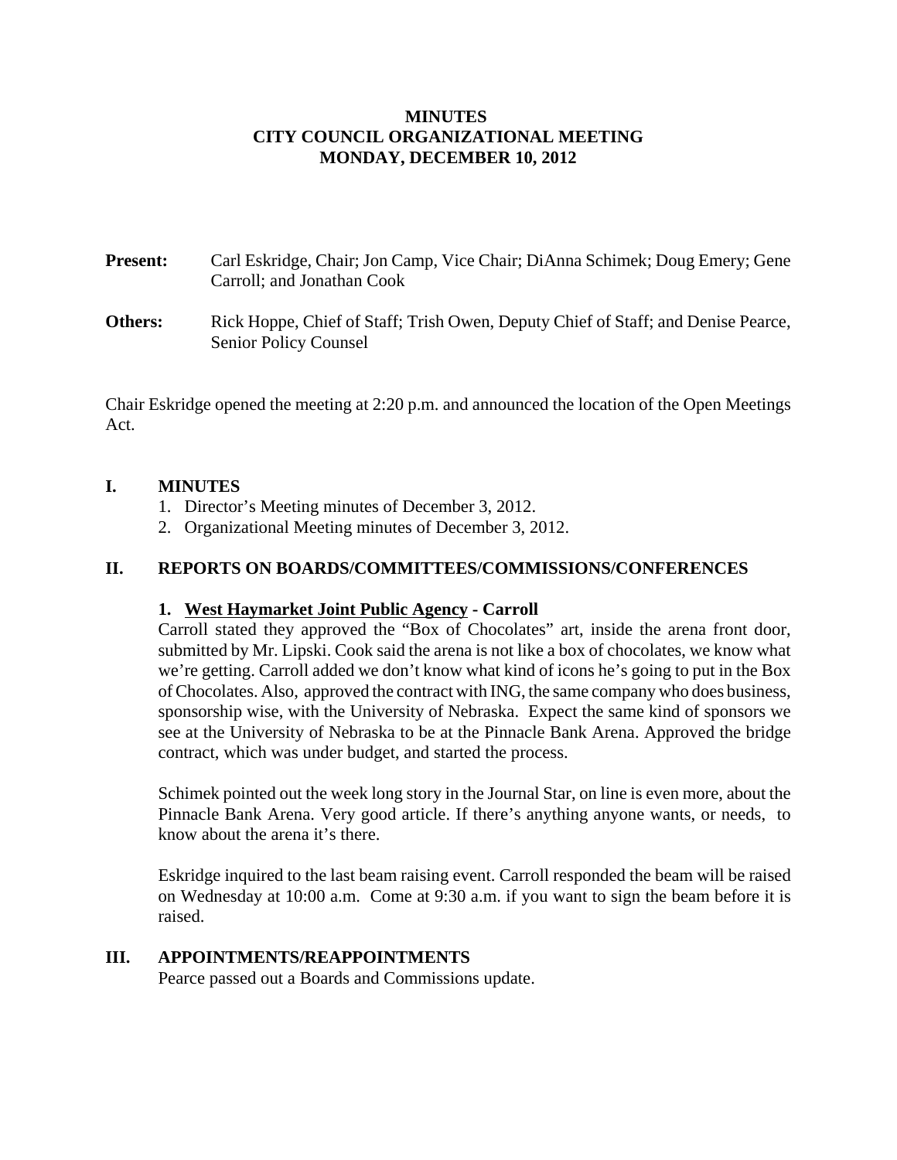# **MINUTES CITY COUNCIL ORGANIZATIONAL MEETING MONDAY, DECEMBER 10, 2012**

- **Present:** Carl Eskridge, Chair; Jon Camp, Vice Chair; DiAnna Schimek; Doug Emery; Gene Carroll; and Jonathan Cook
- **Others:** Rick Hoppe, Chief of Staff; Trish Owen, Deputy Chief of Staff; and Denise Pearce, Senior Policy Counsel

Chair Eskridge opened the meeting at 2:20 p.m. and announced the location of the Open Meetings Act.

### **I. MINUTES**

- 1. Director's Meeting minutes of December 3, 2012.
- 2. Organizational Meeting minutes of December 3, 2012.

# **II. REPORTS ON BOARDS/COMMITTEES/COMMISSIONS/CONFERENCES**

# **1. West Haymarket Joint Public Agency - Carroll**

Carroll stated they approved the "Box of Chocolates" art, inside the arena front door, submitted by Mr. Lipski. Cook said the arena is not like a box of chocolates, we know what we're getting. Carroll added we don't know what kind of icons he's going to put in the Box of Chocolates. Also, approved the contract with ING, the same company who does business, sponsorship wise, with the University of Nebraska. Expect the same kind of sponsors we see at the University of Nebraska to be at the Pinnacle Bank Arena. Approved the bridge contract, which was under budget, and started the process.

Schimek pointed out the week long story in the Journal Star, on line is even more, about the Pinnacle Bank Arena. Very good article. If there's anything anyone wants, or needs, to know about the arena it's there.

Eskridge inquired to the last beam raising event. Carroll responded the beam will be raised on Wednesday at 10:00 a.m. Come at 9:30 a.m. if you want to sign the beam before it is raised.

# **III. APPOINTMENTS/REAPPOINTMENTS**

Pearce passed out a Boards and Commissions update.